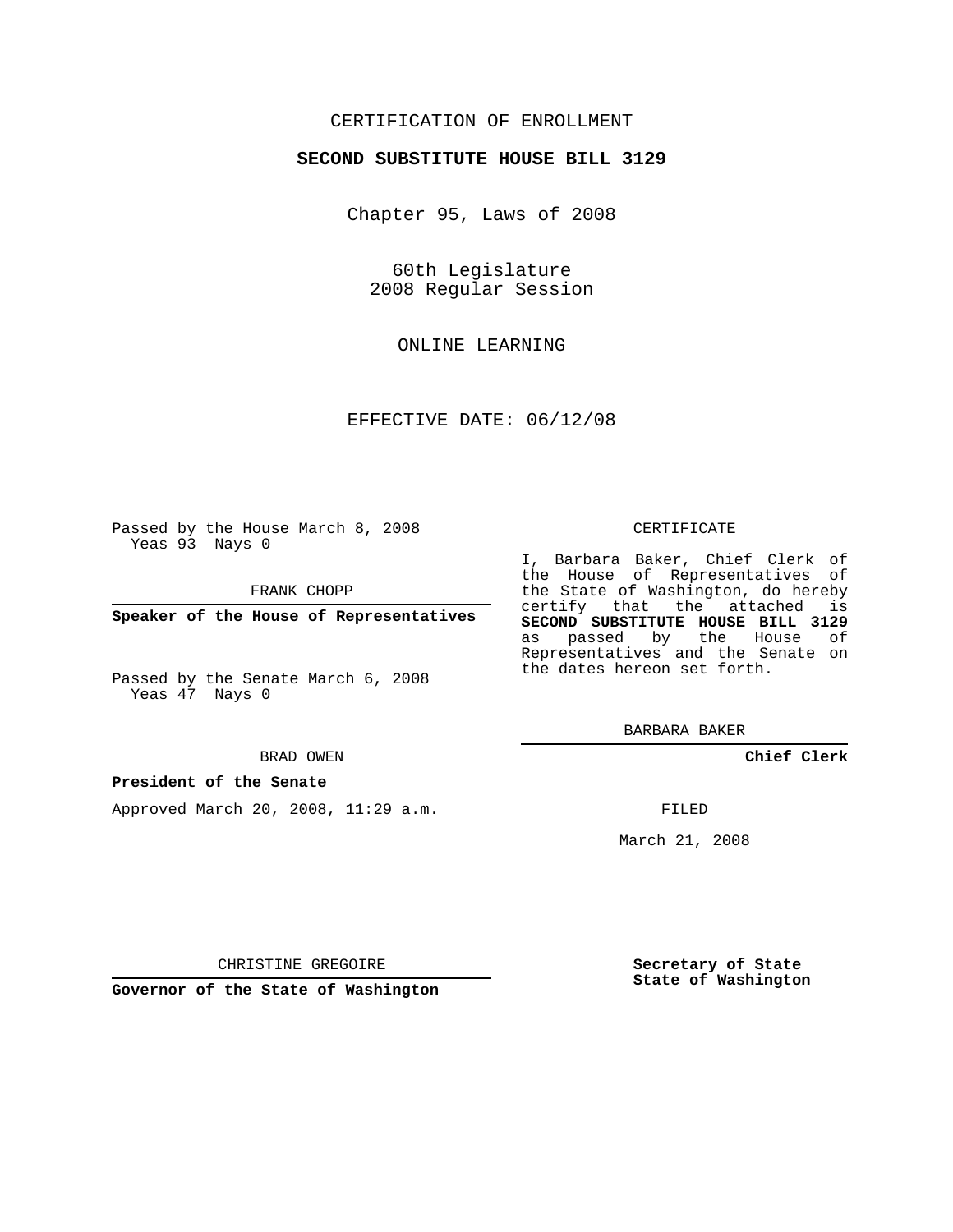## CERTIFICATION OF ENROLLMENT

#### **SECOND SUBSTITUTE HOUSE BILL 3129**

Chapter 95, Laws of 2008

60th Legislature 2008 Regular Session

ONLINE LEARNING

EFFECTIVE DATE: 06/12/08

Passed by the House March 8, 2008 Yeas 93 Nays 0

FRANK CHOPP

**Speaker of the House of Representatives**

Passed by the Senate March 6, 2008 Yeas 47 Nays 0

#### BRAD OWEN

### **President of the Senate**

Approved March 20, 2008, 11:29 a.m.

#### CERTIFICATE

I, Barbara Baker, Chief Clerk of the House of Representatives of the State of Washington, do hereby certify that the attached is **SECOND SUBSTITUTE HOUSE BILL 3129** as passed by the House of Representatives and the Senate on the dates hereon set forth.

BARBARA BAKER

**Chief Clerk**

FILED

March 21, 2008

**Secretary of State State of Washington**

CHRISTINE GREGOIRE

**Governor of the State of Washington**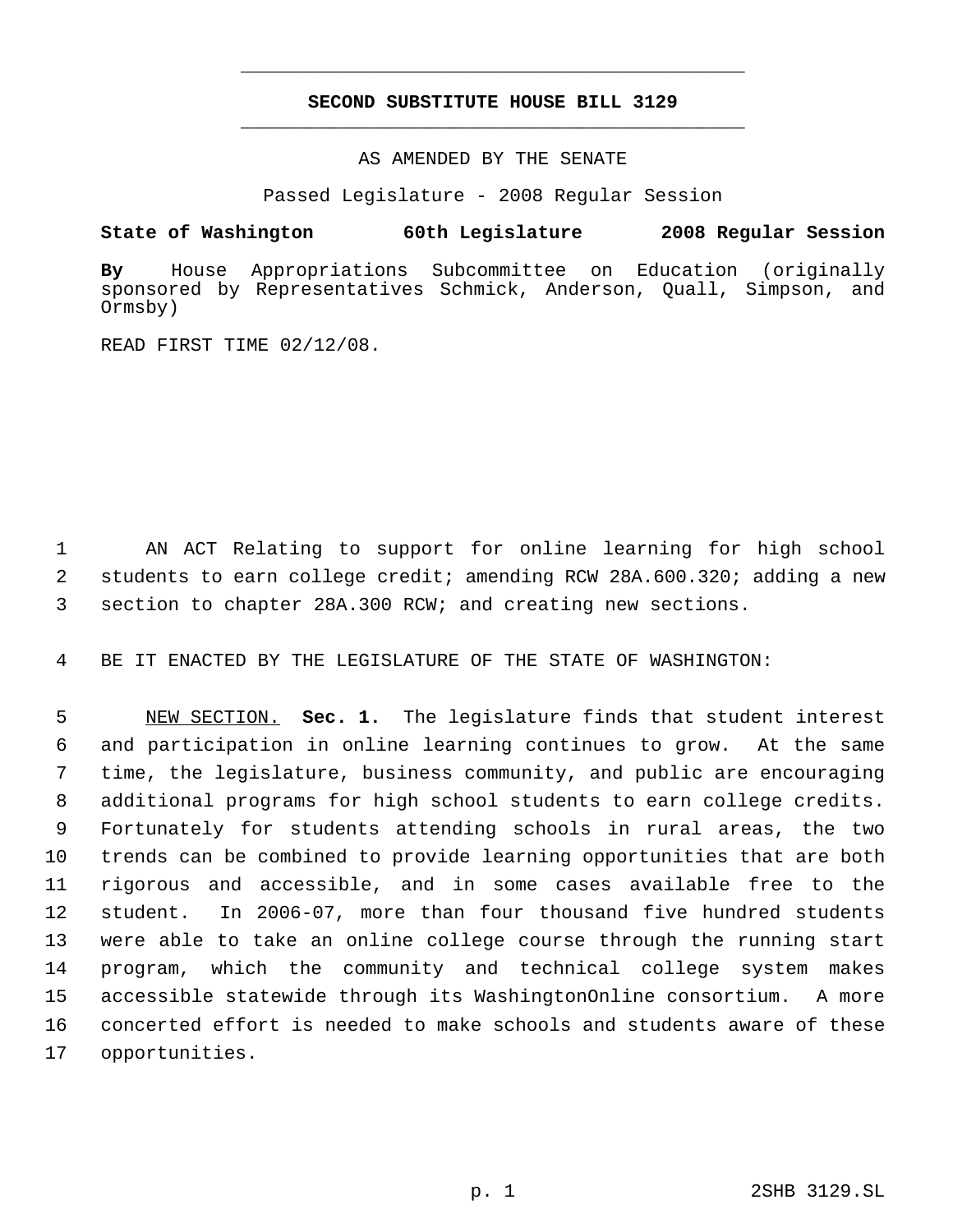# **SECOND SUBSTITUTE HOUSE BILL 3129** \_\_\_\_\_\_\_\_\_\_\_\_\_\_\_\_\_\_\_\_\_\_\_\_\_\_\_\_\_\_\_\_\_\_\_\_\_\_\_\_\_\_\_\_\_

\_\_\_\_\_\_\_\_\_\_\_\_\_\_\_\_\_\_\_\_\_\_\_\_\_\_\_\_\_\_\_\_\_\_\_\_\_\_\_\_\_\_\_\_\_

AS AMENDED BY THE SENATE

Passed Legislature - 2008 Regular Session

## **State of Washington 60th Legislature 2008 Regular Session**

**By** House Appropriations Subcommittee on Education (originally sponsored by Representatives Schmick, Anderson, Quall, Simpson, and Ormsby)

READ FIRST TIME 02/12/08.

 AN ACT Relating to support for online learning for high school students to earn college credit; amending RCW 28A.600.320; adding a new section to chapter 28A.300 RCW; and creating new sections.

BE IT ENACTED BY THE LEGISLATURE OF THE STATE OF WASHINGTON:

 NEW SECTION. **Sec. 1.** The legislature finds that student interest and participation in online learning continues to grow. At the same time, the legislature, business community, and public are encouraging additional programs for high school students to earn college credits. Fortunately for students attending schools in rural areas, the two trends can be combined to provide learning opportunities that are both rigorous and accessible, and in some cases available free to the student. In 2006-07, more than four thousand five hundred students were able to take an online college course through the running start program, which the community and technical college system makes accessible statewide through its WashingtonOnline consortium. A more concerted effort is needed to make schools and students aware of these opportunities.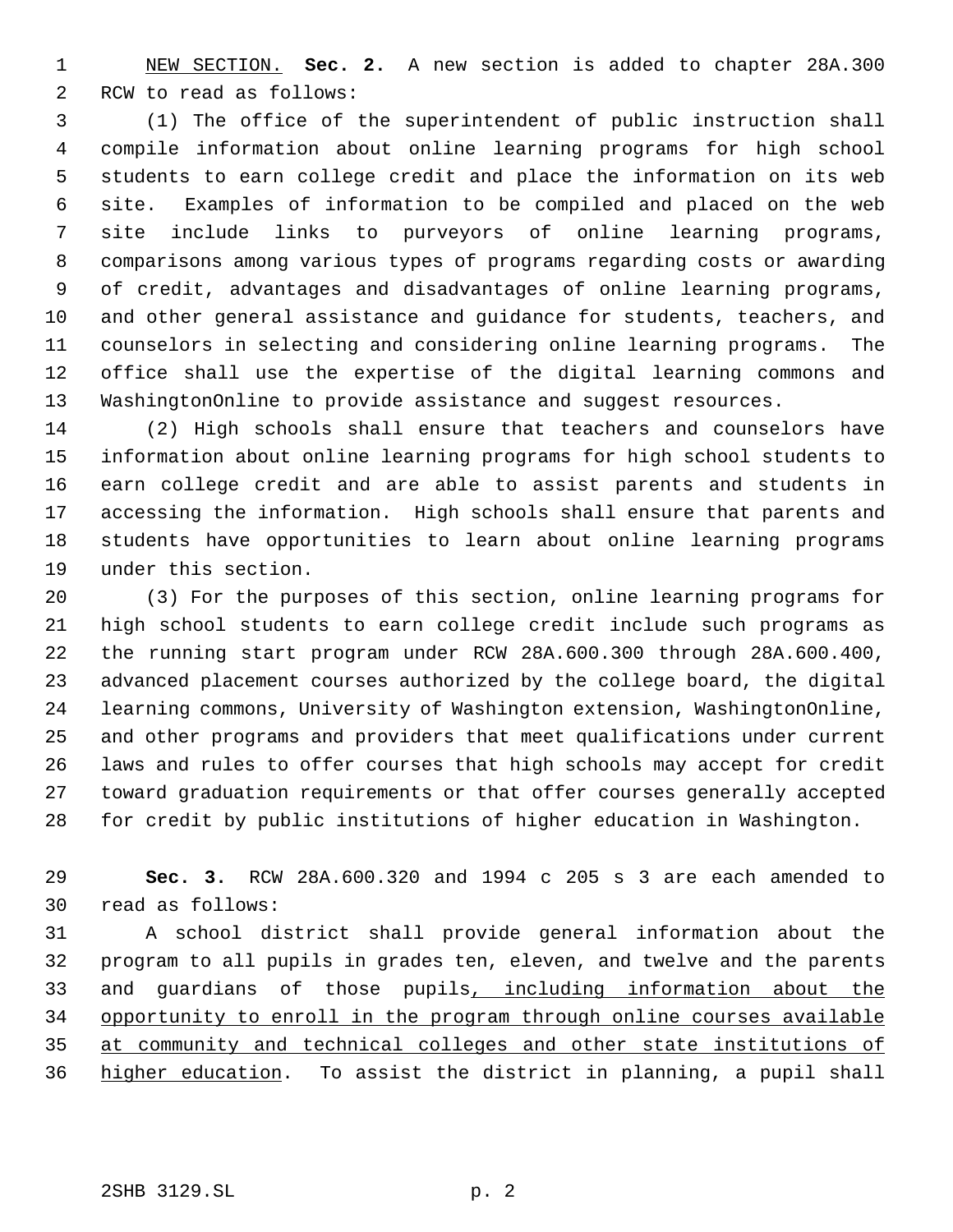NEW SECTION. **Sec. 2.** A new section is added to chapter 28A.300 RCW to read as follows:

 (1) The office of the superintendent of public instruction shall compile information about online learning programs for high school students to earn college credit and place the information on its web site. Examples of information to be compiled and placed on the web site include links to purveyors of online learning programs, comparisons among various types of programs regarding costs or awarding of credit, advantages and disadvantages of online learning programs, and other general assistance and guidance for students, teachers, and counselors in selecting and considering online learning programs. The office shall use the expertise of the digital learning commons and WashingtonOnline to provide assistance and suggest resources.

 (2) High schools shall ensure that teachers and counselors have information about online learning programs for high school students to earn college credit and are able to assist parents and students in accessing the information. High schools shall ensure that parents and students have opportunities to learn about online learning programs under this section.

 (3) For the purposes of this section, online learning programs for high school students to earn college credit include such programs as the running start program under RCW 28A.600.300 through 28A.600.400, advanced placement courses authorized by the college board, the digital learning commons, University of Washington extension, WashingtonOnline, and other programs and providers that meet qualifications under current laws and rules to offer courses that high schools may accept for credit toward graduation requirements or that offer courses generally accepted for credit by public institutions of higher education in Washington.

 **Sec. 3.** RCW 28A.600.320 and 1994 c 205 s 3 are each amended to read as follows:

 A school district shall provide general information about the program to all pupils in grades ten, eleven, and twelve and the parents and guardians of those pupils, including information about the opportunity to enroll in the program through online courses available at community and technical colleges and other state institutions of higher education. To assist the district in planning, a pupil shall